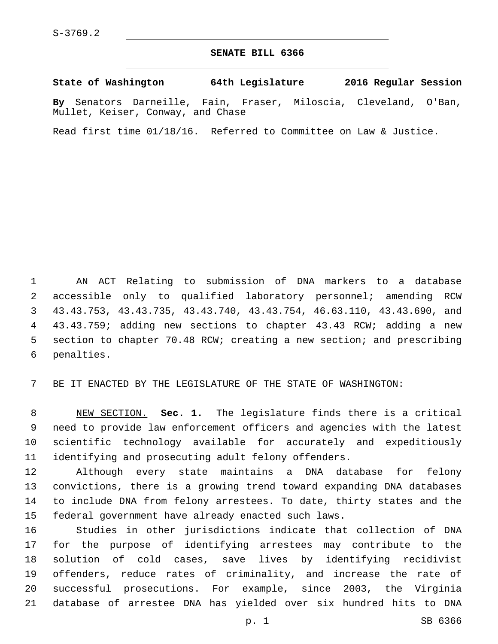## **SENATE BILL 6366**

**State of Washington 64th Legislature 2016 Regular Session**

**By** Senators Darneille, Fain, Fraser, Miloscia, Cleveland, O'Ban, Mullet, Keiser, Conway, and Chase

Read first time 01/18/16. Referred to Committee on Law & Justice.

 AN ACT Relating to submission of DNA markers to a database accessible only to qualified laboratory personnel; amending RCW 43.43.753, 43.43.735, 43.43.740, 43.43.754, 46.63.110, 43.43.690, and 43.43.759; adding new sections to chapter 43.43 RCW; adding a new section to chapter 70.48 RCW; creating a new section; and prescribing 6 penalties.

BE IT ENACTED BY THE LEGISLATURE OF THE STATE OF WASHINGTON:

 NEW SECTION. **Sec. 1.** The legislature finds there is a critical need to provide law enforcement officers and agencies with the latest scientific technology available for accurately and expeditiously identifying and prosecuting adult felony offenders.

 Although every state maintains a DNA database for felony convictions, there is a growing trend toward expanding DNA databases to include DNA from felony arrestees. To date, thirty states and the federal government have already enacted such laws.

 Studies in other jurisdictions indicate that collection of DNA for the purpose of identifying arrestees may contribute to the solution of cold cases, save lives by identifying recidivist offenders, reduce rates of criminality, and increase the rate of successful prosecutions. For example, since 2003, the Virginia database of arrestee DNA has yielded over six hundred hits to DNA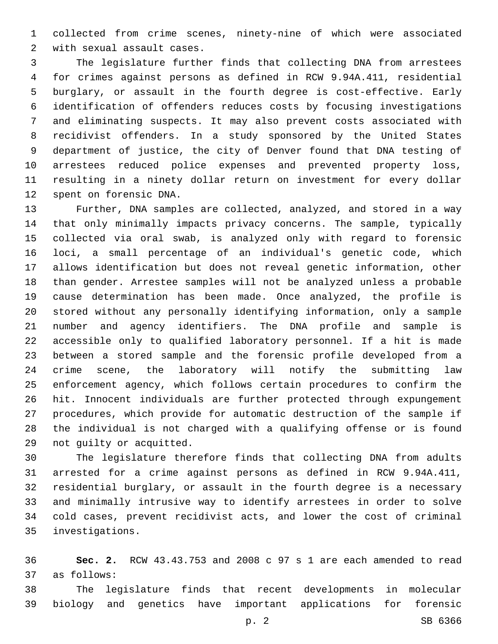collected from crime scenes, ninety-nine of which were associated 2 with sexual assault cases.

 The legislature further finds that collecting DNA from arrestees for crimes against persons as defined in RCW 9.94A.411, residential burglary, or assault in the fourth degree is cost-effective. Early identification of offenders reduces costs by focusing investigations and eliminating suspects. It may also prevent costs associated with recidivist offenders. In a study sponsored by the United States department of justice, the city of Denver found that DNA testing of arrestees reduced police expenses and prevented property loss, resulting in a ninety dollar return on investment for every dollar 12 spent on forensic DNA.

 Further, DNA samples are collected, analyzed, and stored in a way that only minimally impacts privacy concerns. The sample, typically collected via oral swab, is analyzed only with regard to forensic loci, a small percentage of an individual's genetic code, which allows identification but does not reveal genetic information, other than gender. Arrestee samples will not be analyzed unless a probable cause determination has been made. Once analyzed, the profile is stored without any personally identifying information, only a sample number and agency identifiers. The DNA profile and sample is accessible only to qualified laboratory personnel. If a hit is made between a stored sample and the forensic profile developed from a crime scene, the laboratory will notify the submitting law enforcement agency, which follows certain procedures to confirm the hit. Innocent individuals are further protected through expungement procedures, which provide for automatic destruction of the sample if the individual is not charged with a qualifying offense or is found 29 not quilty or acquitted.

 The legislature therefore finds that collecting DNA from adults arrested for a crime against persons as defined in RCW 9.94A.411, residential burglary, or assault in the fourth degree is a necessary and minimally intrusive way to identify arrestees in order to solve cold cases, prevent recidivist acts, and lower the cost of criminal investigations.35

 **Sec. 2.** RCW 43.43.753 and 2008 c 97 s 1 are each amended to read as follows:37

 The legislature finds that recent developments in molecular biology and genetics have important applications for forensic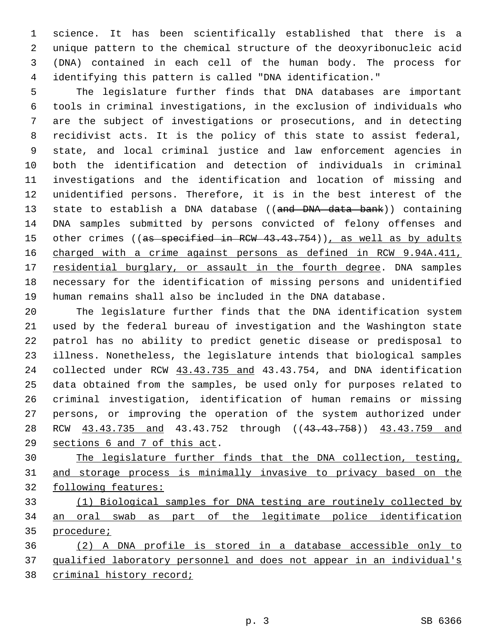science. It has been scientifically established that there is a unique pattern to the chemical structure of the deoxyribonucleic acid (DNA) contained in each cell of the human body. The process for identifying this pattern is called "DNA identification."

 The legislature further finds that DNA databases are important tools in criminal investigations, in the exclusion of individuals who are the subject of investigations or prosecutions, and in detecting recidivist acts. It is the policy of this state to assist federal, state, and local criminal justice and law enforcement agencies in both the identification and detection of individuals in criminal investigations and the identification and location of missing and unidentified persons. Therefore, it is in the best interest of the 13 state to establish a DNA database ((and DNA data bank)) containing DNA samples submitted by persons convicted of felony offenses and 15 other crimes ((as specified in RCW 43.43.754)), as well as by adults charged with a crime against persons as defined in RCW 9.94A.411, 17 residential burglary, or assault in the fourth degree. DNA samples necessary for the identification of missing persons and unidentified human remains shall also be included in the DNA database.

 The legislature further finds that the DNA identification system used by the federal bureau of investigation and the Washington state patrol has no ability to predict genetic disease or predisposal to illness. Nonetheless, the legislature intends that biological samples collected under RCW 43.43.735 and 43.43.754, and DNA identification data obtained from the samples, be used only for purposes related to criminal investigation, identification of human remains or missing persons, or improving the operation of the system authorized under 28 RCW  $\underline{43.43.735}$  and  $43.43.752$  through (( $\underline{43.43.758}$ ))  $\underline{43.43.759}$  and 29 sections 6 and 7 of this act.

 The legislature further finds that the DNA collection, testing, and storage process is minimally invasive to privacy based on the following features:

 (1) Biological samples for DNA testing are routinely collected by an oral swab as part of the legitimate police identification procedure;

 (2) A DNA profile is stored in a database accessible only to qualified laboratory personnel and does not appear in an individual's criminal history record;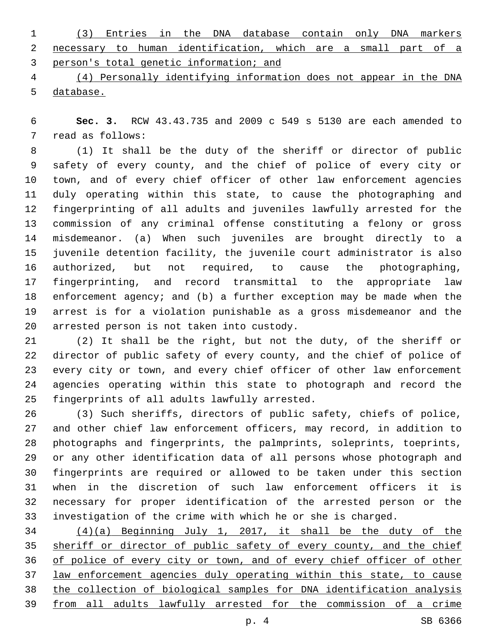(3) Entries in the DNA database contain only DNA markers necessary to human identification, which are a small part of a person's total genetic information; and

 (4) Personally identifying information does not appear in the DNA database.

 **Sec. 3.** RCW 43.43.735 and 2009 c 549 s 5130 are each amended to 7 read as follows:

 (1) It shall be the duty of the sheriff or director of public safety of every county, and the chief of police of every city or town, and of every chief officer of other law enforcement agencies duly operating within this state, to cause the photographing and fingerprinting of all adults and juveniles lawfully arrested for the commission of any criminal offense constituting a felony or gross misdemeanor. (a) When such juveniles are brought directly to a juvenile detention facility, the juvenile court administrator is also authorized, but not required, to cause the photographing, fingerprinting, and record transmittal to the appropriate law enforcement agency; and (b) a further exception may be made when the arrest is for a violation punishable as a gross misdemeanor and the arrested person is not taken into custody.20

 (2) It shall be the right, but not the duty, of the sheriff or director of public safety of every county, and the chief of police of every city or town, and every chief officer of other law enforcement agencies operating within this state to photograph and record the 25 fingerprints of all adults lawfully arrested.

 (3) Such sheriffs, directors of public safety, chiefs of police, and other chief law enforcement officers, may record, in addition to photographs and fingerprints, the palmprints, soleprints, toeprints, or any other identification data of all persons whose photograph and fingerprints are required or allowed to be taken under this section when in the discretion of such law enforcement officers it is necessary for proper identification of the arrested person or the investigation of the crime with which he or she is charged.

 (4)(a) Beginning July 1, 2017, it shall be the duty of the 35 sheriff or director of public safety of every county, and the chief of police of every city or town, and of every chief officer of other law enforcement agencies duly operating within this state, to cause the collection of biological samples for DNA identification analysis from all adults lawfully arrested for the commission of a crime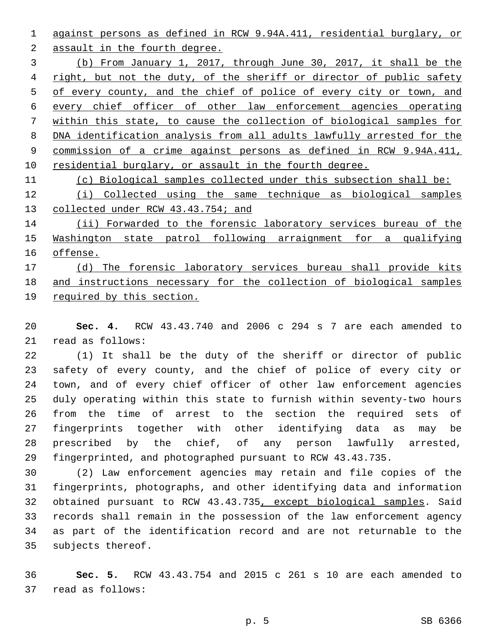against persons as defined in RCW 9.94A.411, residential burglary, or

2 assault in the fourth degree.

 (b) From January 1, 2017, through June 30, 2017, it shall be the 4 right, but not the duty, of the sheriff or director of public safety 5 of every county, and the chief of police of every city or town, and every chief officer of other law enforcement agencies operating within this state, to cause the collection of biological samples for DNA identification analysis from all adults lawfully arrested for the commission of a crime against persons as defined in RCW 9.94A.411, 10 residential burglary, or assault in the fourth degree.

(c) Biological samples collected under this subsection shall be:

 (i) Collected using the same technique as biological samples collected under RCW 43.43.754; and

 (ii) Forwarded to the forensic laboratory services bureau of the Washington state patrol following arraignment for a qualifying offense.

 (d) The forensic laboratory services bureau shall provide kits and instructions necessary for the collection of biological samples required by this section.

 **Sec. 4.** RCW 43.43.740 and 2006 c 294 s 7 are each amended to 21 read as follows:

 (1) It shall be the duty of the sheriff or director of public safety of every county, and the chief of police of every city or town, and of every chief officer of other law enforcement agencies duly operating within this state to furnish within seventy-two hours from the time of arrest to the section the required sets of fingerprints together with other identifying data as may be prescribed by the chief, of any person lawfully arrested, fingerprinted, and photographed pursuant to RCW 43.43.735.

 (2) Law enforcement agencies may retain and file copies of the fingerprints, photographs, and other identifying data and information obtained pursuant to RCW 43.43.735, except biological samples. Said records shall remain in the possession of the law enforcement agency as part of the identification record and are not returnable to the 35 subjects thereof.

 **Sec. 5.** RCW 43.43.754 and 2015 c 261 s 10 are each amended to 37 read as follows: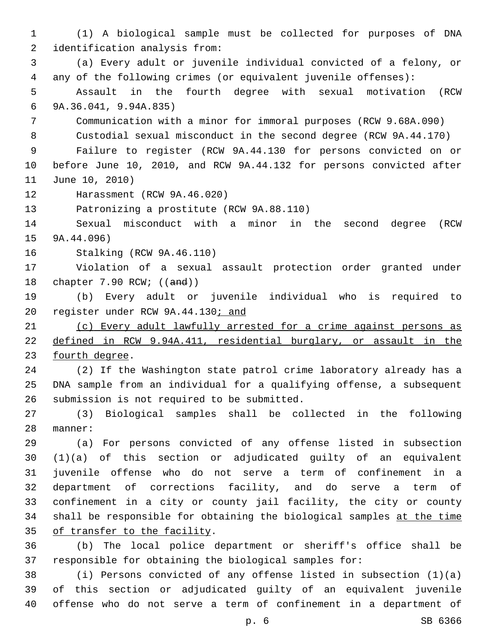(1) A biological sample must be collected for purposes of DNA 2 identification analysis from: (a) Every adult or juvenile individual convicted of a felony, or any of the following crimes (or equivalent juvenile offenses): Assault in the fourth degree with sexual motivation (RCW 9A.36.041, 9.94A.835)6 Communication with a minor for immoral purposes (RCW 9.68A.090) Custodial sexual misconduct in the second degree (RCW 9A.44.170) Failure to register (RCW 9A.44.130 for persons convicted on or before June 10, 2010, and RCW 9A.44.132 for persons convicted after 11 June 10, 2010) 12 Harassment (RCW 9A.46.020) 13 Patronizing a prostitute (RCW 9A.88.110) Sexual misconduct with a minor in the second degree (RCW  $9A.44.096$ ) 16 Stalking (RCW 9A.46.110) Violation of a sexual assault protection order granted under 18 chapter 7.90 RCW; ((and)) (b) Every adult or juvenile individual who is required to 20 register under RCW 9A.44.130; and (c) Every adult lawfully arrested for a crime against persons as defined in RCW 9.94A.411, residential burglary, or assault in the 23 fourth degree. (2) If the Washington state patrol crime laboratory already has a DNA sample from an individual for a qualifying offense, a subsequent 26 submission is not required to be submitted. (3) Biological samples shall be collected in the following 28 manner: (a) For persons convicted of any offense listed in subsection (1)(a) of this section or adjudicated guilty of an equivalent juvenile offense who do not serve a term of confinement in a department of corrections facility, and do serve a term of confinement in a city or county jail facility, the city or county shall be responsible for obtaining the biological samples at the time 35 of transfer to the facility. (b) The local police department or sheriff's office shall be responsible for obtaining the biological samples for: (i) Persons convicted of any offense listed in subsection (1)(a)

 of this section or adjudicated guilty of an equivalent juvenile offense who do not serve a term of confinement in a department of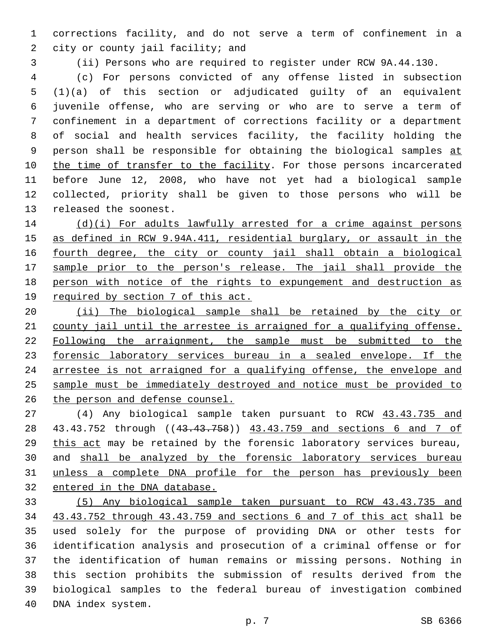corrections facility, and do not serve a term of confinement in a 2 city or county jail facility; and

(ii) Persons who are required to register under RCW 9A.44.130.

 (c) For persons convicted of any offense listed in subsection (1)(a) of this section or adjudicated guilty of an equivalent juvenile offense, who are serving or who are to serve a term of confinement in a department of corrections facility or a department of social and health services facility, the facility holding the 9 person shall be responsible for obtaining the biological samples at 10 the time of transfer to the facility. For those persons incarcerated before June 12, 2008, who have not yet had a biological sample collected, priority shall be given to those persons who will be 13 released the soonest.

 (d)(i) For adults lawfully arrested for a crime against persons as defined in RCW 9.94A.411, residential burglary, or assault in the fourth degree, the city or county jail shall obtain a biological sample prior to the person's release. The jail shall provide the person with notice of the rights to expungement and destruction as 19 required by section 7 of this act.

 (ii) The biological sample shall be retained by the city or county jail until the arrestee is arraigned for a qualifying offense. Following the arraignment, the sample must be submitted to the forensic laboratory services bureau in a sealed envelope. If the arrestee is not arraigned for a qualifying offense, the envelope and sample must be immediately destroyed and notice must be provided to the person and defense counsel.

 (4) Any biological sample taken pursuant to RCW 43.43.735 and 43.43.752 through ((43.43.758)) 43.43.759 and sections 6 and 7 of this act may be retained by the forensic laboratory services bureau, 30 and shall be analyzed by the forensic laboratory services bureau unless a complete DNA profile for the person has previously been entered in the DNA database.

 (5) Any biological sample taken pursuant to RCW 43.43.735 and 43.43.752 through 43.43.759 and sections 6 and 7 of this act shall be used solely for the purpose of providing DNA or other tests for identification analysis and prosecution of a criminal offense or for the identification of human remains or missing persons. Nothing in this section prohibits the submission of results derived from the biological samples to the federal bureau of investigation combined 40 DNA index system.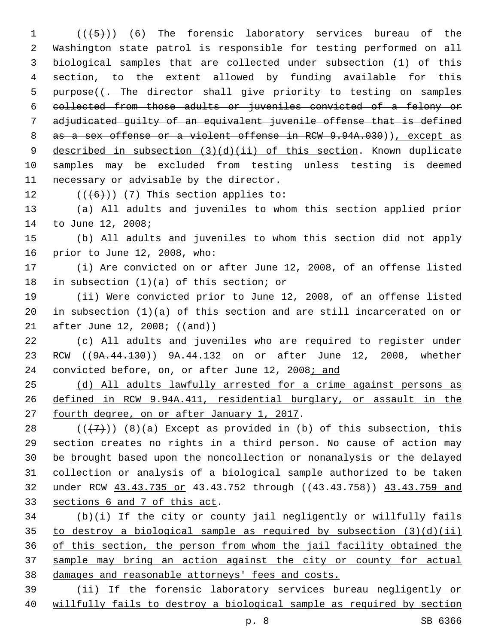$((\{5\}))$  (6) The forensic laboratory services bureau of the Washington state patrol is responsible for testing performed on all biological samples that are collected under subsection (1) of this section, to the extent allowed by funding available for this 5 purpose((- The director shall give priority to testing on samples collected from those adults or juveniles convicted of a felony or adjudicated guilty of an equivalent juvenile offense that is defined 8 as a sex offense or a violent offense in RCW 9.94A.030)), except as described in subsection (3)(d)(ii) of this section. Known duplicate samples may be excluded from testing unless testing is deemed 11 necessary or advisable by the director.

12  $((+6))$   $(7)$  This section applies to:

13 (a) All adults and juveniles to whom this section applied prior 14 to June 12, 2008;

15 (b) All adults and juveniles to whom this section did not apply 16 prior to June 12, 2008, who:

17 (i) Are convicted on or after June 12, 2008, of an offense listed 18 in subsection  $(1)(a)$  of this section; or

19 (ii) Were convicted prior to June 12, 2008, of an offense listed 20 in subsection (1)(a) of this section and are still incarcerated on or 21 after June 12, 2008; ((and))

22 (c) All adults and juveniles who are required to register under 23 RCW ((9A.44.130)) 9A.44.132 on or after June 12, 2008, whether 24 convicted before, on, or after June 12, 2008; and

25 (d) All adults lawfully arrested for a crime against persons as 26 defined in RCW 9.94A.411, residential burglary, or assault in the 27 fourth degree, on or after January 1, 2017.

 $((+7+))$  (8)(a) Except as provided in (b) of this subsection, this section creates no rights in a third person. No cause of action may be brought based upon the noncollection or nonanalysis or the delayed collection or analysis of a biological sample authorized to be taken under RCW 43.43.735 or 43.43.752 through ((43.43.758)) 43.43.759 and 33 sections 6 and 7 of this act.

34 (b)(i) If the city or county jail negligently or willfully fails 35 to destroy a biological sample as required by subsection  $(3)(d)(ii)$ 36 of this section, the person from whom the jail facility obtained the 37 sample may bring an action against the city or county for actual 38 damages and reasonable attorneys' fees and costs.

39 (ii) If the forensic laboratory services bureau negligently or 40 willfully fails to destroy a biological sample as required by section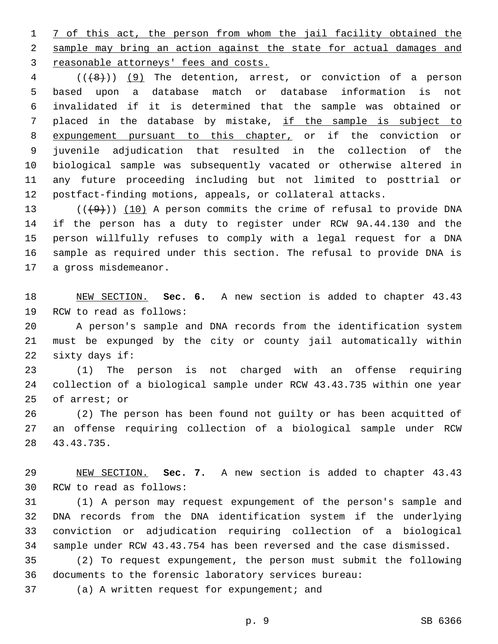1 7 of this act, the person from whom the jail facility obtained the sample may bring an action against the state for actual damages and 3 reasonable attorneys' fees and costs.

 (((8))) (9) The detention, arrest, or conviction of a person based upon a database match or database information is not invalidated if it is determined that the sample was obtained or placed in the database by mistake, if the sample is subject to expungement pursuant to this chapter, or if the conviction or juvenile adjudication that resulted in the collection of the biological sample was subsequently vacated or otherwise altered in any future proceeding including but not limited to posttrial or postfact-finding motions, appeals, or collateral attacks.

 $((+9))$   $(10)$  A person commits the crime of refusal to provide DNA if the person has a duty to register under RCW 9A.44.130 and the person willfully refuses to comply with a legal request for a DNA sample as required under this section. The refusal to provide DNA is 17 a gross misdemeanor.

 NEW SECTION. **Sec. 6.** A new section is added to chapter 43.43 19 RCW to read as follows:

 A person's sample and DNA records from the identification system must be expunged by the city or county jail automatically within 22 sixty days if:

 (1) The person is not charged with an offense requiring collection of a biological sample under RCW 43.43.735 within one year 25 of arrest; or

 (2) The person has been found not guilty or has been acquitted of an offense requiring collection of a biological sample under RCW 43.43.735.28

 NEW SECTION. **Sec. 7.** A new section is added to chapter 43.43 30 RCW to read as follows:

 (1) A person may request expungement of the person's sample and DNA records from the DNA identification system if the underlying conviction or adjudication requiring collection of a biological sample under RCW 43.43.754 has been reversed and the case dismissed.

 (2) To request expungement, the person must submit the following documents to the forensic laboratory services bureau:

37 (a) A written request for expungement; and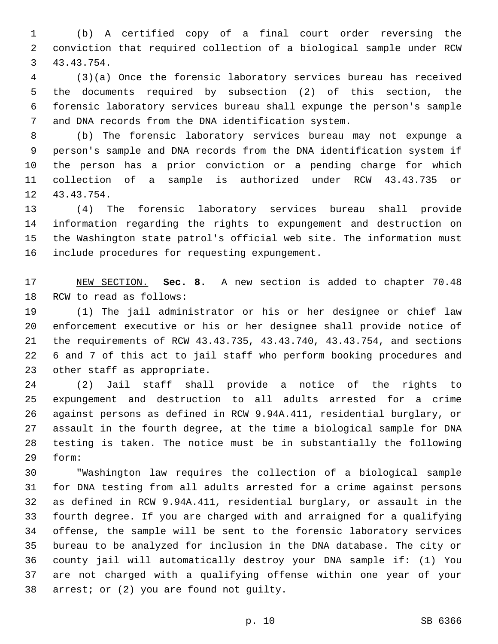(b) A certified copy of a final court order reversing the conviction that required collection of a biological sample under RCW 43.43.754.3

 (3)(a) Once the forensic laboratory services bureau has received the documents required by subsection (2) of this section, the forensic laboratory services bureau shall expunge the person's sample and DNA records from the DNA identification system.

 (b) The forensic laboratory services bureau may not expunge a person's sample and DNA records from the DNA identification system if the person has a prior conviction or a pending charge for which collection of a sample is authorized under RCW 43.43.735 or 12 43.43.754.

 (4) The forensic laboratory services bureau shall provide information regarding the rights to expungement and destruction on the Washington state patrol's official web site. The information must 16 include procedures for requesting expungement.

 NEW SECTION. **Sec. 8.** A new section is added to chapter 70.48 18 RCW to read as follows:

 (1) The jail administrator or his or her designee or chief law enforcement executive or his or her designee shall provide notice of the requirements of RCW 43.43.735, 43.43.740, 43.43.754, and sections 6 and 7 of this act to jail staff who perform booking procedures and 23 other staff as appropriate.

 (2) Jail staff shall provide a notice of the rights to expungement and destruction to all adults arrested for a crime against persons as defined in RCW 9.94A.411, residential burglary, or assault in the fourth degree, at the time a biological sample for DNA testing is taken. The notice must be in substantially the following form:29

 "Washington law requires the collection of a biological sample for DNA testing from all adults arrested for a crime against persons as defined in RCW 9.94A.411, residential burglary, or assault in the fourth degree. If you are charged with and arraigned for a qualifying offense, the sample will be sent to the forensic laboratory services bureau to be analyzed for inclusion in the DNA database. The city or county jail will automatically destroy your DNA sample if: (1) You are not charged with a qualifying offense within one year of your 38 arrest; or (2) you are found not guilty.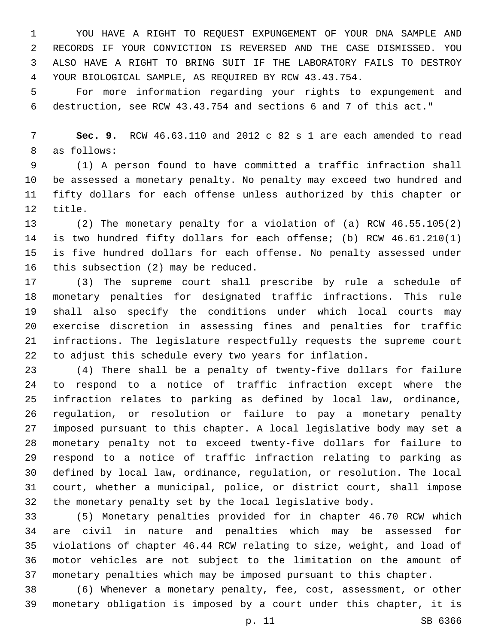YOU HAVE A RIGHT TO REQUEST EXPUNGEMENT OF YOUR DNA SAMPLE AND RECORDS IF YOUR CONVICTION IS REVERSED AND THE CASE DISMISSED. YOU ALSO HAVE A RIGHT TO BRING SUIT IF THE LABORATORY FAILS TO DESTROY YOUR BIOLOGICAL SAMPLE, AS REQUIRED BY RCW 43.43.754.

 For more information regarding your rights to expungement and destruction, see RCW 43.43.754 and sections 6 and 7 of this act."

 **Sec. 9.** RCW 46.63.110 and 2012 c 82 s 1 are each amended to read 8 as follows:

 (1) A person found to have committed a traffic infraction shall be assessed a monetary penalty. No penalty may exceed two hundred and fifty dollars for each offense unless authorized by this chapter or 12 title.

 (2) The monetary penalty for a violation of (a) RCW 46.55.105(2) is two hundred fifty dollars for each offense; (b) RCW 46.61.210(1) is five hundred dollars for each offense. No penalty assessed under 16 this subsection  $(2)$  may be reduced.

 (3) The supreme court shall prescribe by rule a schedule of monetary penalties for designated traffic infractions. This rule shall also specify the conditions under which local courts may exercise discretion in assessing fines and penalties for traffic infractions. The legislature respectfully requests the supreme court to adjust this schedule every two years for inflation.

 (4) There shall be a penalty of twenty-five dollars for failure to respond to a notice of traffic infraction except where the infraction relates to parking as defined by local law, ordinance, regulation, or resolution or failure to pay a monetary penalty imposed pursuant to this chapter. A local legislative body may set a monetary penalty not to exceed twenty-five dollars for failure to respond to a notice of traffic infraction relating to parking as defined by local law, ordinance, regulation, or resolution. The local court, whether a municipal, police, or district court, shall impose the monetary penalty set by the local legislative body.

 (5) Monetary penalties provided for in chapter 46.70 RCW which are civil in nature and penalties which may be assessed for violations of chapter 46.44 RCW relating to size, weight, and load of motor vehicles are not subject to the limitation on the amount of monetary penalties which may be imposed pursuant to this chapter.

 (6) Whenever a monetary penalty, fee, cost, assessment, or other monetary obligation is imposed by a court under this chapter, it is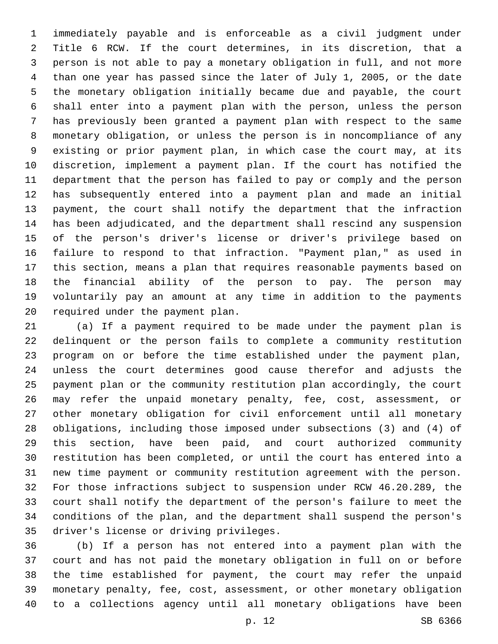immediately payable and is enforceable as a civil judgment under Title 6 RCW. If the court determines, in its discretion, that a person is not able to pay a monetary obligation in full, and not more than one year has passed since the later of July 1, 2005, or the date the monetary obligation initially became due and payable, the court shall enter into a payment plan with the person, unless the person has previously been granted a payment plan with respect to the same monetary obligation, or unless the person is in noncompliance of any existing or prior payment plan, in which case the court may, at its discretion, implement a payment plan. If the court has notified the department that the person has failed to pay or comply and the person has subsequently entered into a payment plan and made an initial payment, the court shall notify the department that the infraction has been adjudicated, and the department shall rescind any suspension of the person's driver's license or driver's privilege based on failure to respond to that infraction. "Payment plan," as used in this section, means a plan that requires reasonable payments based on the financial ability of the person to pay. The person may voluntarily pay an amount at any time in addition to the payments 20 required under the payment plan.

 (a) If a payment required to be made under the payment plan is delinquent or the person fails to complete a community restitution program on or before the time established under the payment plan, unless the court determines good cause therefor and adjusts the payment plan or the community restitution plan accordingly, the court may refer the unpaid monetary penalty, fee, cost, assessment, or other monetary obligation for civil enforcement until all monetary obligations, including those imposed under subsections (3) and (4) of this section, have been paid, and court authorized community restitution has been completed, or until the court has entered into a new time payment or community restitution agreement with the person. For those infractions subject to suspension under RCW 46.20.289, the court shall notify the department of the person's failure to meet the conditions of the plan, and the department shall suspend the person's 35 driver's license or driving privileges.

 (b) If a person has not entered into a payment plan with the court and has not paid the monetary obligation in full on or before the time established for payment, the court may refer the unpaid monetary penalty, fee, cost, assessment, or other monetary obligation to a collections agency until all monetary obligations have been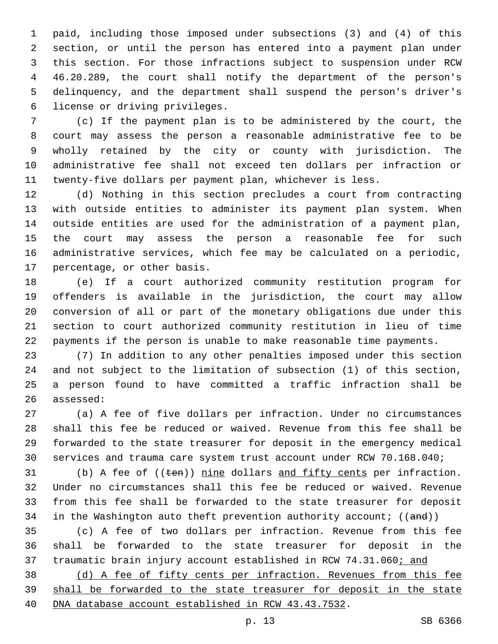paid, including those imposed under subsections (3) and (4) of this section, or until the person has entered into a payment plan under this section. For those infractions subject to suspension under RCW 46.20.289, the court shall notify the department of the person's delinquency, and the department shall suspend the person's driver's 6 license or driving privileges.

 (c) If the payment plan is to be administered by the court, the court may assess the person a reasonable administrative fee to be wholly retained by the city or county with jurisdiction. The administrative fee shall not exceed ten dollars per infraction or twenty-five dollars per payment plan, whichever is less.

 (d) Nothing in this section precludes a court from contracting with outside entities to administer its payment plan system. When outside entities are used for the administration of a payment plan, the court may assess the person a reasonable fee for such administrative services, which fee may be calculated on a periodic, 17 percentage, or other basis.

 (e) If a court authorized community restitution program for offenders is available in the jurisdiction, the court may allow conversion of all or part of the monetary obligations due under this section to court authorized community restitution in lieu of time payments if the person is unable to make reasonable time payments.

 (7) In addition to any other penalties imposed under this section and not subject to the limitation of subsection (1) of this section, a person found to have committed a traffic infraction shall be 26 assessed:

 (a) A fee of five dollars per infraction. Under no circumstances shall this fee be reduced or waived. Revenue from this fee shall be forwarded to the state treasurer for deposit in the emergency medical services and trauma care system trust account under RCW 70.168.040;

31 (b) A fee of ((ten)) nine dollars and fifty cents per infraction. Under no circumstances shall this fee be reduced or waived. Revenue from this fee shall be forwarded to the state treasurer for deposit 34 in the Washington auto theft prevention authority account;  $((and))$ 

 (c) A fee of two dollars per infraction. Revenue from this fee shall be forwarded to the state treasurer for deposit in the 37 traumatic brain injury account established in RCW 74.31.060; and

 (d) A fee of fifty cents per infraction. Revenues from this fee 39 shall be forwarded to the state treasurer for deposit in the state DNA database account established in RCW 43.43.7532.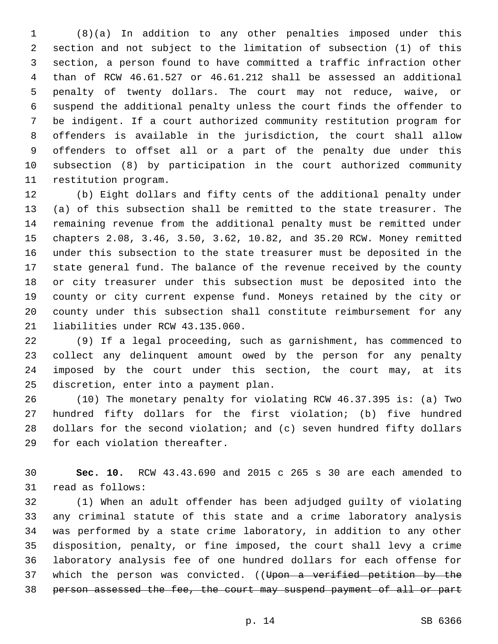(8)(a) In addition to any other penalties imposed under this section and not subject to the limitation of subsection (1) of this section, a person found to have committed a traffic infraction other than of RCW 46.61.527 or 46.61.212 shall be assessed an additional penalty of twenty dollars. The court may not reduce, waive, or suspend the additional penalty unless the court finds the offender to be indigent. If a court authorized community restitution program for offenders is available in the jurisdiction, the court shall allow offenders to offset all or a part of the penalty due under this subsection (8) by participation in the court authorized community 11 restitution program.

 (b) Eight dollars and fifty cents of the additional penalty under (a) of this subsection shall be remitted to the state treasurer. The remaining revenue from the additional penalty must be remitted under chapters 2.08, 3.46, 3.50, 3.62, 10.82, and 35.20 RCW. Money remitted under this subsection to the state treasurer must be deposited in the state general fund. The balance of the revenue received by the county or city treasurer under this subsection must be deposited into the county or city current expense fund. Moneys retained by the city or county under this subsection shall constitute reimbursement for any 21 liabilities under RCW 43.135.060.

 (9) If a legal proceeding, such as garnishment, has commenced to collect any delinquent amount owed by the person for any penalty imposed by the court under this section, the court may, at its 25 discretion, enter into a payment plan.

 (10) The monetary penalty for violating RCW 46.37.395 is: (a) Two hundred fifty dollars for the first violation; (b) five hundred dollars for the second violation; and (c) seven hundred fifty dollars 29 for each violation thereafter.

 **Sec. 10.** RCW 43.43.690 and 2015 c 265 s 30 are each amended to 31 read as follows:

 (1) When an adult offender has been adjudged guilty of violating any criminal statute of this state and a crime laboratory analysis was performed by a state crime laboratory, in addition to any other disposition, penalty, or fine imposed, the court shall levy a crime laboratory analysis fee of one hundred dollars for each offense for 37 which the person was convicted. ((Upon a verified petition by the person assessed the fee, the court may suspend payment of all or part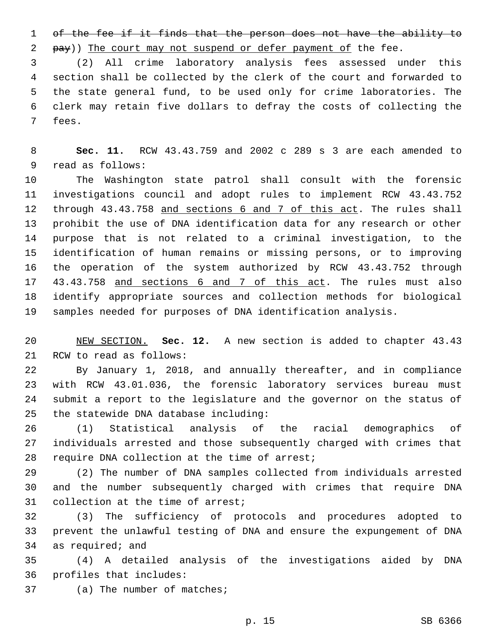of the fee if it finds that the person does not have the ability to 2 pay)) The court may not suspend or defer payment of the fee.

 (2) All crime laboratory analysis fees assessed under this section shall be collected by the clerk of the court and forwarded to the state general fund, to be used only for crime laboratories. The clerk may retain five dollars to defray the costs of collecting the 7 fees.

 **Sec. 11.** RCW 43.43.759 and 2002 c 289 s 3 are each amended to 9 read as follows:

 The Washington state patrol shall consult with the forensic investigations council and adopt rules to implement RCW 43.43.752 through 43.43.758 and sections 6 and 7 of this act. The rules shall prohibit the use of DNA identification data for any research or other purpose that is not related to a criminal investigation, to the identification of human remains or missing persons, or to improving the operation of the system authorized by RCW 43.43.752 through 17 43.43.758 and sections 6 and 7 of this act. The rules must also identify appropriate sources and collection methods for biological samples needed for purposes of DNA identification analysis.

 NEW SECTION. **Sec. 12.** A new section is added to chapter 43.43 21 RCW to read as follows:

 By January 1, 2018, and annually thereafter, and in compliance with RCW 43.01.036, the forensic laboratory services bureau must submit a report to the legislature and the governor on the status of 25 the statewide DNA database including:

 (1) Statistical analysis of the racial demographics of individuals arrested and those subsequently charged with crimes that 28 require DNA collection at the time of arrest;

 (2) The number of DNA samples collected from individuals arrested and the number subsequently charged with crimes that require DNA 31 collection at the time of arrest;

 (3) The sufficiency of protocols and procedures adopted to prevent the unlawful testing of DNA and ensure the expungement of DNA 34 as required; and

 (4) A detailed analysis of the investigations aided by DNA profiles that includes: 36

37 (a) The number of matches;